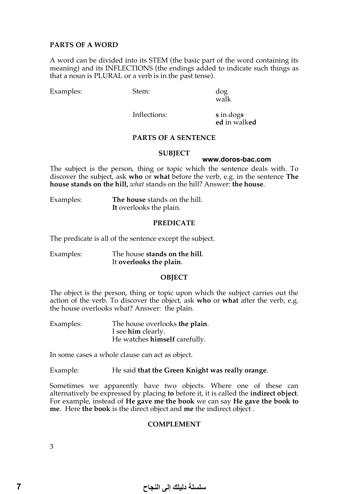# **PARTS OF A WORD**

A word can be divided into its STEM (the basic part of the word containing its meaning) and its INFLECTIONS (the endings added to indicate such things as that a noun is PLURAL or a verb is in the past tense).

Examples: Stem: dog

walk

Inflections: **s** in dog**s**

**ed** in walk**ed**

## **PARTS OF A SENTENCE**

#### **SUBJECT**

#### **www.doros-bac.com**

The subject is the person, thing or topic which the sentence deals with. To discover the subject, ask **who** or **what** before the verb, e.g. in the sentence **The house stands on the hill,** *what* stands on the hill? Answer: **the house**.

Examples: **The house** stands on the hill. **It** overlooks the plain.

#### **PREDICATE**

The predicate is all of the sentence except the subject.

Examples: The house **stands on the hill**. It **overlooks the plain**.

#### **OBJECT**

The object is the person, thing or topic upon which the subject carries out the action of the verb. To discover the object, ask **who** or **what** after the verb, e.g. the house overlooks what? Answer: the plain.

Examples: The house overlooks **the plain**. I see **him** clearly. He watches **himself** carefully.

In some cases a whole clause can act as object.

Example: He said **that the Green Knight was really orange**.

Sometimes we apparently have two objects. Where one of these can alternatively be expressed by placing **to** before it, it is called the **indirect object**. For example, instead of **He gave me the book** we can say **He gave the book to me**. Here **the book** is the direct object and **me** the indirect object .

#### **COMPLEMENT**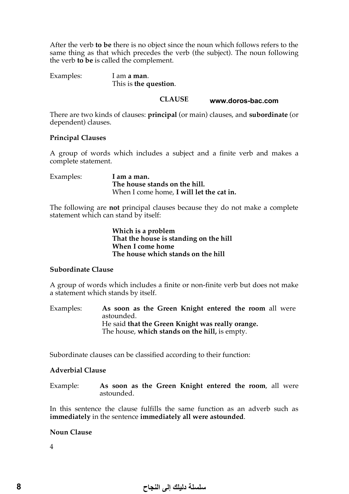After the verb **to be** there is no object since the noun which follows refers to the same thing as that which precedes the verb (the subject). The noun following the verb **to be** is called the complement.

Examples: I am **a man**. This is **the question**.

> **CLAUSE www.doros-bac.com**

There are two kinds of clauses: **principal** (or main) clauses, and **subordinate** (or dependent) clauses.

# **Principal Clauses**

A group of words which includes a subject and a finite verb and makes a complete statement.

Examples: **I am a man. The house stands on the hill.**  When I come home, **I will let the cat in.**

The following are **not** principal clauses because they do not make a complete statement which can stand by itself:

> **Which is a problem That the house is standing on the hill When I come home The house which stands on the hill**

# **Subordinate Clause**

A group of words which includes a finite or non-finite verb but does not make a statement which stands by itself.

Examples: **As soon as the Green Knight entered the room** all were astounded. He said **that the Green Knight was really orange.** The house, **which stands on the hill,** is empty.

Subordinate clauses can be classified according to their function:

# **Adverbial Clause**

Example: **As soon as the Green Knight entered the room**, all were astounded.

In this sentence the clause fulfills the same function as an adverb such as **immediately** in the sentence **immediately all were astounded**.

# **Noun Clause**

4

# سلسلة دليلك إلى النجاح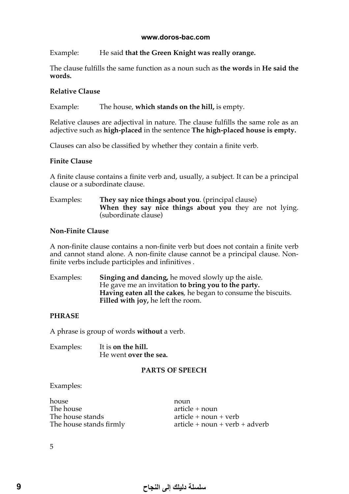#### **www.doros-bac.com**

Example: He said **that the Green Knight was really orange.**

The clause fulfills the same function as a noun such as **the words** in **He said the words.**

# **Relative Clause**

Example: The house, **which stands on the hill,** is empty.

Relative clauses are adjectival in nature. The clause fulfills the same role as an adjective such as **high-placed** in the sentence **The high-placed house is empty.**

Clauses can also be classified by whether they contain a finite verb.

# **Finite Clause**

A finite clause contains a finite verb and, usually, a subject. It can be a principal clause or a subordinate clause.

### Examples: **They say nice things about you**. (principal clause) **When they say nice things about you** they are not lying. (subordinate clause)

## **Non-Finite Clause**

A non-finite clause contains a non-finite verb but does not contain a finite verb and cannot stand alone. A non-finite clause cannot be a principal clause. Nonfinite verbs include participles and infinitives .

Examples: **Singing and dancing,** he moved slowly up the aisle. He gave me an invitation **to bring you to the party. Having eaten all the cakes**, he began to consume the biscuits. **Filled with joy,** he left the room.

# **PHRASE**

A phrase is group of words **without** a verb.

Examples: It is **on the hill.**  He went **over the sea.**

# **PARTS OF SPEECH**

Examples:

house noun<br>The house article The house stands firmly

 $article + noun$ The house stands<br>The house stands firmly article + noun + verb + adverb<br>article + noun + verb + adverb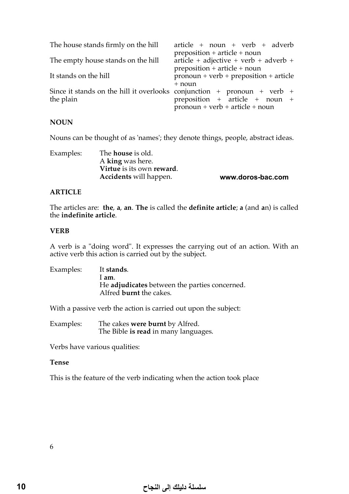| The house stands firmly on the hill                                                  | $article + noun + verb + adverb$                                                     |
|--------------------------------------------------------------------------------------|--------------------------------------------------------------------------------------|
| The empty house stands on the hill                                                   | $preposition + article + noun$<br>$article + adjective + verb + adverb + +$          |
| It stands on the hill                                                                | preposition + article + noun<br>$pronoun + verb + preposition + article$<br>$+$ noun |
| Since it stands on the hill it overlooks conjunction + pronoun + verb +<br>the plain | preposition + article + noun +<br>$pronoun + verb + article + noun$                  |

## **NOUN**

Nouns can be thought of as 'names'; they denote things, people, abstract ideas.

| Examples: | The <b>house</b> is old.      |                   |
|-----------|-------------------------------|-------------------|
|           | A king was here.              |                   |
|           | Virtue is its own reward.     |                   |
|           | <b>Accidents</b> will happen. | www.doros-bac.com |

## **ARTICLE**

The articles are: **the**, **a**, **an**. **The** is called the **definite article**; **a** (and **a**n) is called the **indefinite article**.

## **VERB**

A verb is a "doing word". It expresses the carrying out of an action. With an active verb this action is carried out by the subject.

| Examples: | It stands.                                    |
|-----------|-----------------------------------------------|
|           | l am.                                         |
|           | He adjudicates between the parties concerned. |
|           | Alfred <b>burnt</b> the cakes.                |

With a passive verb the action is carried out upon the subject:

Examples: The cakes **were burnt** by Alfred. The Bible **is read** in many languages.

Verbs have various qualities:

#### **Tense**

This is the feature of the verb indicating when the action took place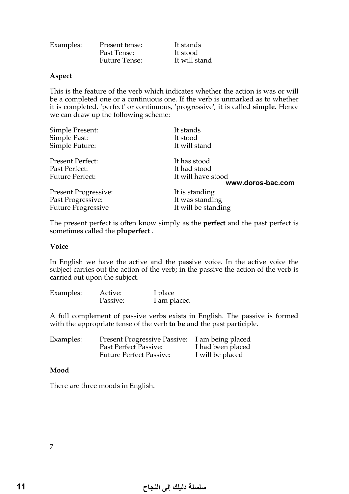| Examples: | Present tense:       | It stands     |
|-----------|----------------------|---------------|
|           | Past Tense:          | It stood      |
|           | <b>Future Tense:</b> | It will stand |

### **Aspect**

This is the feature of the verb which indicates whether the action is was or will be a completed one or a continuous one. If the verb is unmarked as to whether it is completed, 'perfect' or continuous, 'progressive', it is called **simple**. Hence we can draw up the following scheme:

| It stands           |
|---------------------|
| It stood            |
| It will stand       |
| It has stood        |
| It had stood        |
| It will have stood  |
| www.doros-bac.com   |
| It is standing      |
| It was standing     |
| It will be standing |
|                     |

The present perfect is often know simply as the **perfect** and the past perfect is sometimes called the **pluperfect** .

#### **Voice**

In English we have the active and the passive voice. In the active voice the subject carries out the action of the verb; in the passive the action of the verb is carried out upon the subject.

| Examples: | Active:  | I place     |
|-----------|----------|-------------|
|           | Passive: | I am placed |

A full complement of passive verbs exists in English. The passive is formed with the appropriate tense of the verb **to be** and the past participle.

| Examples: | <b>Present Progressive Passive:</b> | I am being placed |
|-----------|-------------------------------------|-------------------|
|           | Past Perfect Passive:               | I had been placed |
|           | <b>Future Perfect Passive:</b>      | I will be placed  |

#### **Mood**

There are three moods in English.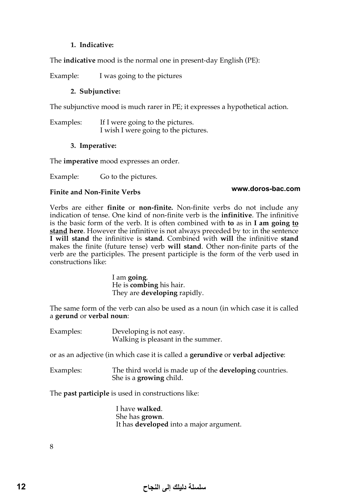# **1. Indicative:**

The **indicative** mood is the normal one in present-day English (PE):

Example: I was going to the pictures

# **2. Subjunctive:**

The subjunctive mood is much rarer in PE; it expresses a hypothetical action.

Examples: If I were going to the pictures. I wish I were going to the pictures.

# **3. Imperative:**

The **imperative** mood expresses an order.

Example: Go to the pictures.

## **Finite and Non-Finite Verbs**

# **www.doros-bac.com**

Verbs are either **finite** or **non-finite.** Non-finite verbs do not include any indication of tense. One kind of non-finite verb is the **infinitive**. The infinitive is the basic form of the verb. It is often combined with **to** as in **I am going to stand here**. However the infinitive is not always preceded by to: in the sentence **I will stand** the infinitive is **stand**. Combined with **will** the infinitive **stand** makes the finite (future tense) verb **will stand**. Other non-finite parts of the verb are the participles. The present participle is the form of the verb used in constructions like:

> I am **going**. He is **combing** his hair. They are **developing** rapidly.

The same form of the verb can also be used as a noun (in which case it is called a **gerund** or **verbal noun**:

Examples: Developing is not easy. Walking is pleasant in the summer.

or as an adjective (in which case it is called a **gerundive** or **verbal adjective**:

Examples: The third world is made up of the **developing** countries. She is a **growing** child.

The **past participle** is used in constructions like:

I have **walked**. She has **grown**. It has **developed** into a major argument.

8

# سلسلة دليلك إلى النجاح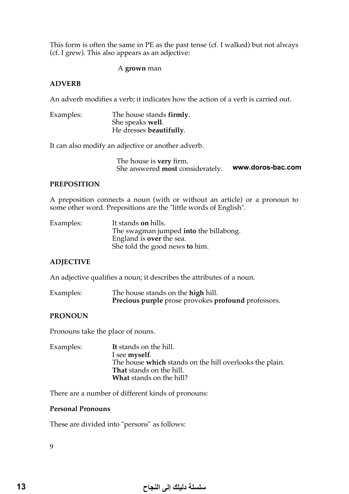This form is often the same in PE as the past tense (cf. I walked) but not always (cf. I grew). This also appears as an adjective:

## A **grown** man

## **ADVERB**

An adverb modifies a verb; it indicates how the action of a verb is carried out.

Examples: The house stands **firmly**. She speaks **well**. He dresses **beautifully**.

It can also modify an adjective or another adverb.

The house is **very** firm. She answered **most** considerately. **www.doros-bac.com**

#### **PREPOSITION**

A preposition connects a noun (with or without an article) or a pronoun to some other word. Prepositions are the "little words of English".

| Examples: | It stands on hills.                    |
|-----------|----------------------------------------|
|           | The swagman jumped into the billabong. |
|           | England is <b>over</b> the sea.        |
|           | She told the good news to him.         |

#### **ADJECTIVE**

An adjective qualifies a noun; it describes the attributes of a noun.

| Examples: | The house stands on the <b>high</b> hill.           |  |  |
|-----------|-----------------------------------------------------|--|--|
|           | Precious purple prose provokes profound professors. |  |  |

#### **PRONOUN**

Pronouns take the place of nouns.

Examples: **It** stands on the hill. I see **myself**. The house **which** stands on the hill overlooks the plain. **That** stands on the hill. **What** stands on the hill?

There are a number of different kinds of pronouns:

### **Personal Pronouns**

These are divided into "persons" as follows: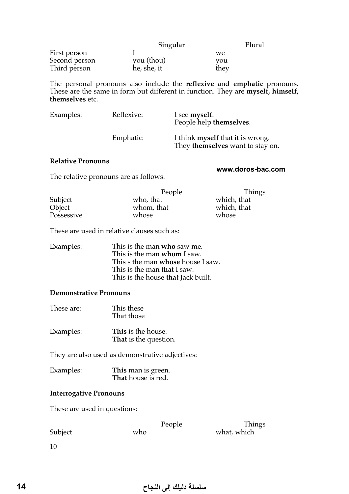|               | Singular                  |      | Plural |
|---------------|---------------------------|------|--------|
| First person  |                           | we   |        |
| Second person |                           | you  |        |
| Third person  | you (thou)<br>he, she, it | they |        |

The personal pronouns also include the **reflexive** and **emphatic** pronouns. These are the same in form but different in function. They are **myself, himself, themselves** etc.

| Examples: | Reflexive: | I see myself.<br>People help themselves.                                    |
|-----------|------------|-----------------------------------------------------------------------------|
|           | Emphatic:  | I think <b>myself</b> that it is wrong.<br>They themselves want to stay on. |

#### **Relative Pronouns**

#### **www.doros-bac.com**

People Things<br>who, that which, that Subject who, that which, that Which, that Object which which, that  $\frac{1}{2}$ whom, that which, whose whose Possessive

These are used in relative clauses such as:

The relative pronouns are as follows:

| Examples: | This is the man who saw me.<br>This is the man whom I saw. |
|-----------|------------------------------------------------------------|
|           |                                                            |
|           | This s the man <b>whose</b> house I saw.                   |
|           | This is the man <b>that</b> I saw.                         |
|           | This is the house that Jack built.                         |

### **Demonstrative Pronouns**

- These are: This these That those
- Examples: **This** is the house. **That** is the question.

They are also used as demonstrative adjectives:

| Examples: | This man is green. |
|-----------|--------------------|
|           | That house is red. |

# **Interrogative Pronouns**

These are used in questions:

e Things Subject who who what, which